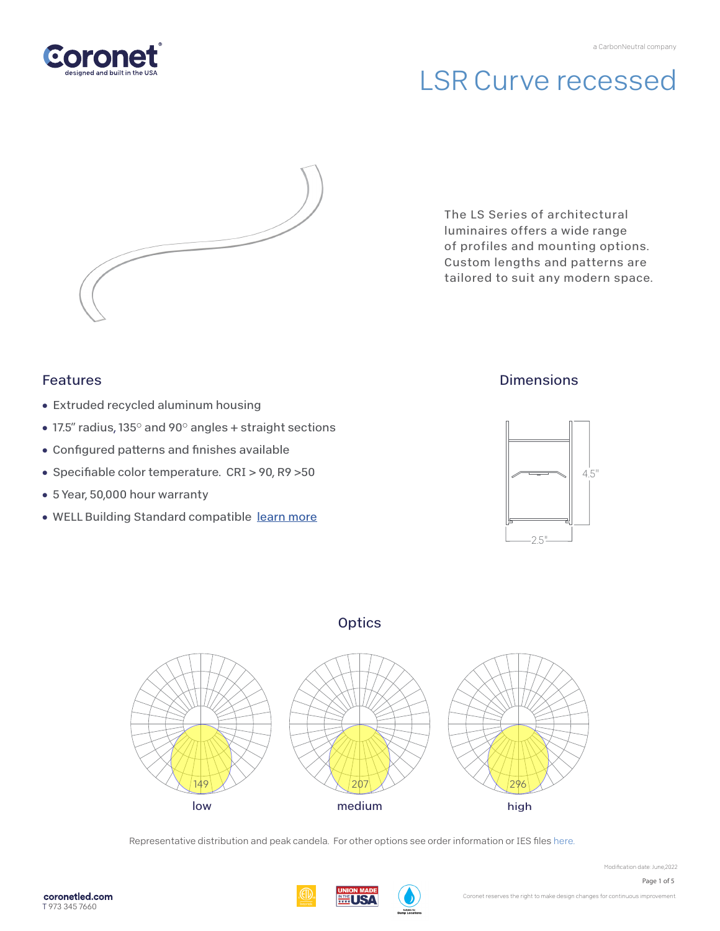

# LSR Curve recessed



The LS Series of architectural luminaires offers a wide range of profiles and mounting options. Custom lengths and patterns are tailored to suit any modern space.

### Features

- Extruded recycled aluminum housing
- 17.5" radius, 135° and 90° angles + straight sections
- Configured patterns and finishes available
- Specifiable color temperature. CRI > 90, R9 > 50
- 5 Year, 50,000 hour warranty
- WELL Building Standard compatible learn more

### **Dimensions**



## **Optics**



Representative distribution and peak candela. For other options see order information or IES fi[les here.](https://coronetled.com/downloads/)





Modification date: June,2022 Page 1 of 5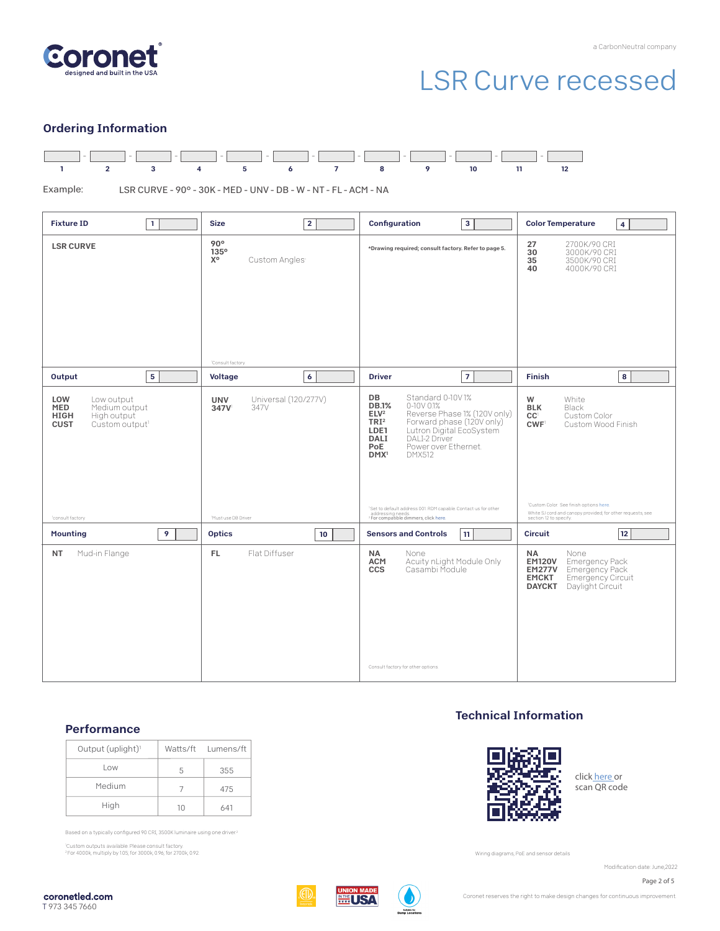

# LSR Curve recessed

#### Ordering Information



 LSR CURVE - 90° - 30K - MED - UNV - DB - W - NT - FL - ACM - NA Example:

| <b>Fixture ID</b><br>$\mathbf{1}$                                                                                    | $\overline{2}$<br><b>Size</b>                                                    | Configuration<br>$\mathbf{3}$                                                                                                                                                                                                                                                                                                                                                                                                                                      | <b>Color Temperature</b><br>$\overline{\mathbf{4}}$                                                                                                                                                                                                           |
|----------------------------------------------------------------------------------------------------------------------|----------------------------------------------------------------------------------|--------------------------------------------------------------------------------------------------------------------------------------------------------------------------------------------------------------------------------------------------------------------------------------------------------------------------------------------------------------------------------------------------------------------------------------------------------------------|---------------------------------------------------------------------------------------------------------------------------------------------------------------------------------------------------------------------------------------------------------------|
| <b>LSR CURVE</b>                                                                                                     | 90°<br>135°<br>χ°<br>Custom Angles <sup>1</sup><br><sup>1</sup> Consult factory. | *Drawing required; consult factory. Refer to page 5.                                                                                                                                                                                                                                                                                                                                                                                                               | 27<br>2700K/90 CRI<br>3000K/90 CRI<br>30<br>35<br>3500K/90 CRI<br>40<br>4000K/90 CRI                                                                                                                                                                          |
| 5<br>Output                                                                                                          | $\boldsymbol{6}$<br>Voltage                                                      | $\overline{7}$<br><b>Driver</b>                                                                                                                                                                                                                                                                                                                                                                                                                                    | 8<br><b>Finish</b>                                                                                                                                                                                                                                            |
| LOW<br>Low output<br>MED<br>Medium output<br><b>HIGH</b><br>High output<br><b>CUST</b><br>Custom output <sup>1</sup> | Universal (120/277V)<br>UNV<br>347V<br>347V                                      | <b>DB</b><br>Standard 0-10V1%<br><b>DB.1%</b><br>$0-10V$ $01%$<br>ELV <sup>2</sup><br>Reverse Phase 1% (120V only)<br>Forward phase (120V only)<br>TRI <sup>2</sup><br>Lutron Digital EcoSystem<br>LDE1<br>DALI-2 Driver<br><b>DALI</b><br>PoE<br>Power over Ethernet.<br>DMX <sup>1</sup><br><b>DMX512</b><br><sup>1</sup> Set to default address 001. RDM capable. Contact us for other<br>addressing needs.<br><sup>2</sup> For compatible dimmers, click here. | White<br>W<br><b>BLK</b><br>Black<br>CC <sup>1</sup><br>Custom Color<br>CWF <sup>1</sup><br>Custom Wood Finish<br><sup>1</sup> Custom Color. See finish options here.<br>White SJ cord and canopy provided; for other requests, see<br>section 12 to specify. |
| <sup>1</sup> consult factory<br>$\overline{9}$<br><b>Mounting</b>                                                    | Must use DB Driver<br><b>Optics</b><br>10                                        | 11<br><b>Sensors and Controls</b>                                                                                                                                                                                                                                                                                                                                                                                                                                  | 12<br><b>Circuit</b>                                                                                                                                                                                                                                          |
| Mud-in Flange<br>NT                                                                                                  | Flat Diffuser<br>FL.                                                             | <b>NA</b><br>None<br><b>ACM</b><br>Acuity nLight Module Only<br>Casambi Module<br><b>CCS</b><br>Consult factory for other options.                                                                                                                                                                                                                                                                                                                                 | <b>NA</b><br>None<br><b>Emergency Pack</b><br><b>EM120V</b><br>Emergency Pack<br><b>EM277V</b><br>Emergency Circuit<br><b>EMCKT</b><br>Daylight Circuit<br><b>DAYCKT</b>                                                                                      |

#### **Performance**

| Output (uplight) <sup>1</sup> |    | Watts/ft Lumens/ft |
|-------------------------------|----|--------------------|
| Low                           | 5  | 355                |
| Medium                        |    | 475                |
| High                          | 1Λ | 641                |

Based on a typically configured 90 CRI, 3500K luminaire using one driver.<sup>2</sup>

1 Custom outputs available. Please consult factory. 2 For 4000k, multiply by 1.05; for 3000k, 0.96; for 2700k, 0.92.

Technical Information



click [here or](https://coronetled.com/warranty-technical-info/) scan QR code

Wiring diagrams, PoE and sensor details

Modification date: June, 2022



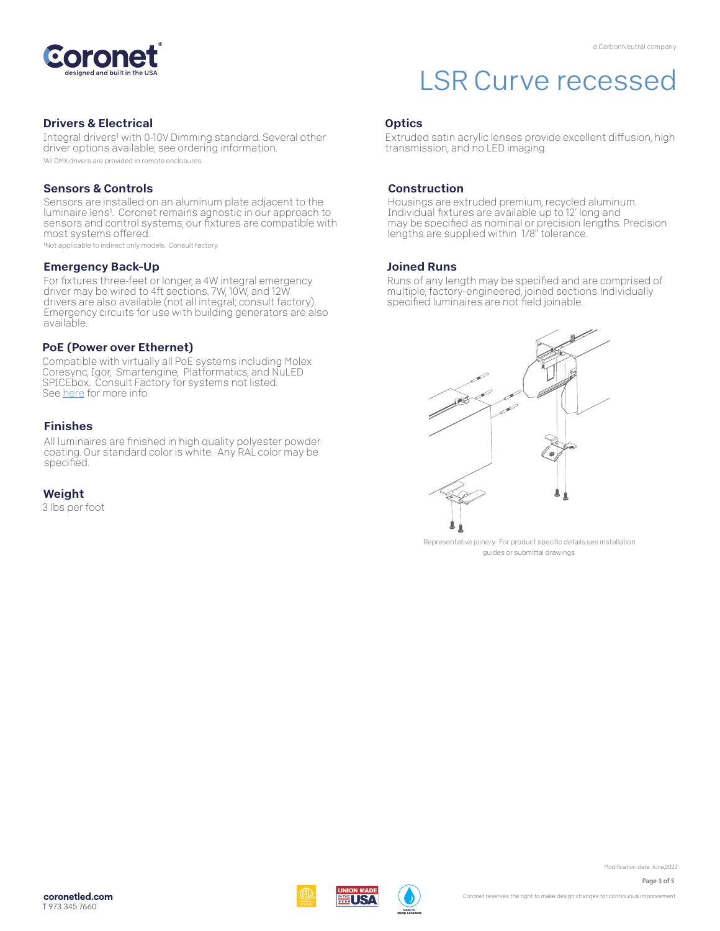

#### Drivers & Electrical

Integral drivers1 with 0-10V Dimming standard. Several other driver options available; see ordering information.

1All DMX drivers are provided in remote enclosures.

#### Sensors & Controls

Sensors are installed on an aluminum plate adjacent to the luminaire lens1. Coronet remains agnostic in our approach to sensors and control systems; our fixtures are compatible with most systems offered.

1Not applicable to indirect only models. Consult factory.

#### Emergency Back-Up

For fixtures three-feet or longer, a 4W integral emergency driver may be wired to 4ft sections. 7W, 10W, and 12W drivers are also available (not all integral; consult factory). Emergency circuits for use with building generators are also available.

#### PoE (Power over Ethernet)

Compatible with virtually all PoE systems including Molex Coresync, Igor, Smartengine, Platformatics, and NuLED SPICEbox. Consult Factory for systems not listed. See here for more info.

#### Finishes

All luminaires are finished in high quality polyester powder coating. Our standard color is white. Any RAL color may be specified.

#### Weight

3 lbs per foot

## LSR Curve recessed

#### **Optics**

Extruded satin acrylic lenses provide excellent diffusion, high transmission, and no LED imaging.

#### Construction

Housings are extruded premium, recycled aluminum. Individual fixtures are available up to 12' long and may be specified as nominal or precision lengths. Precision lengths are supplied within 1/8" tolerance.

#### Joined Runs

Runs of any length may be specified and are comprised of multiple, factory-engineered, joined sections. Individually specified luminaires are not field joinable.



Representative joinery. For product specific details see installation guides or submittal drawings.



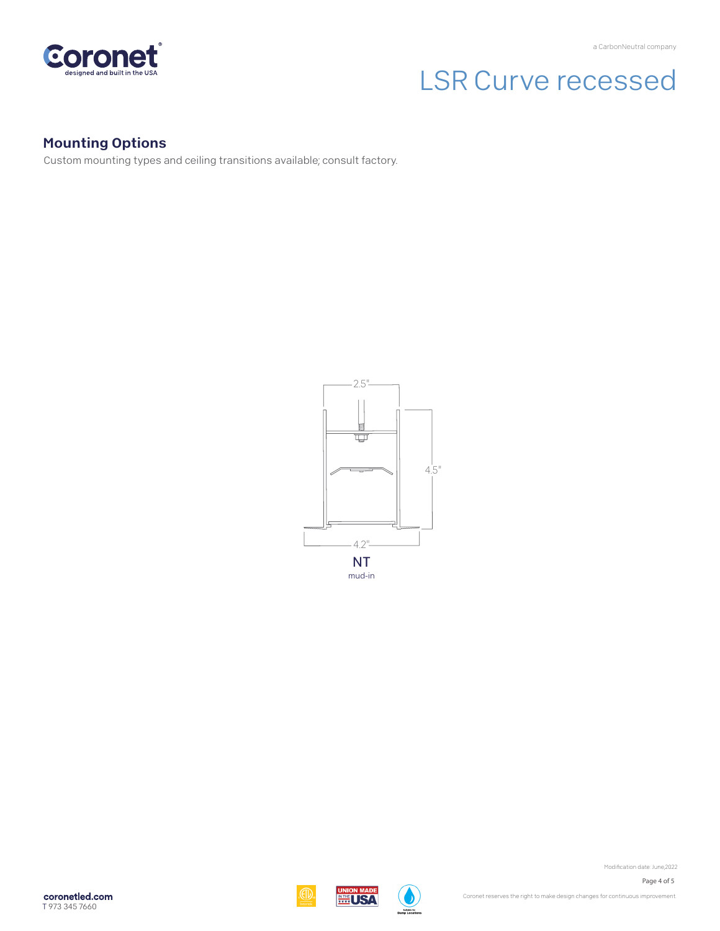

# LSR Curve recessed

## Mounting Options

Custom mounting types and ceiling transitions available; consult factory.



coronetled.com T 973 345 7660







Modification date: June, 2022 Page 4 of 5